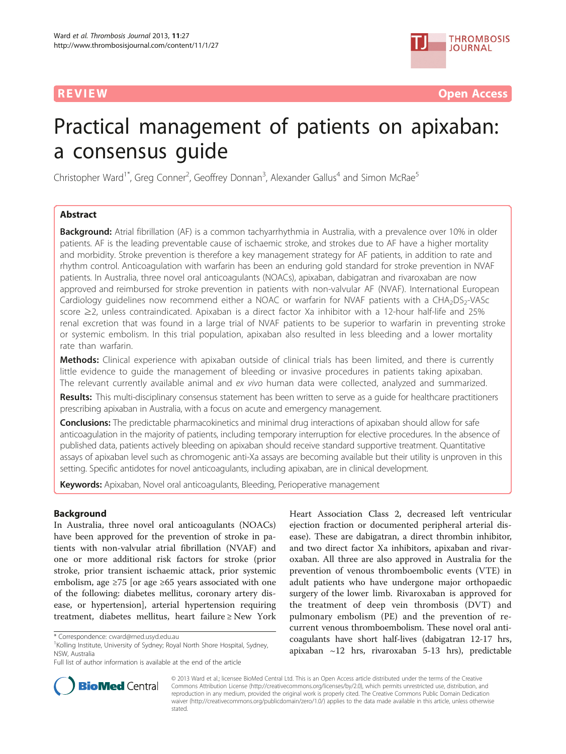

**REVIEW CONTROL** CONTROL CONTROL CONTROL CONTROL CONTROL CONTROL CONTROL CONTROL CONTROL CONTROL CONTROL CONTROL CONTROL CONTROL CONTROL CONTROL CONTROL CONTROL CONTROL CONTROL CONTROL CONTROL CONTROL CONTROL CONTROL CONTR

# Practical management of patients on apixaban: a consensus guide

Christopher Ward<sup>1\*</sup>, Greg Conner<sup>2</sup>, Geoffrey Donnan<sup>3</sup>, Alexander Gallus<sup>4</sup> and Simon McRae<sup>5</sup>

# Abstract

Background: Atrial fibrillation (AF) is a common tachyarrhythmia in Australia, with a prevalence over 10% in older patients. AF is the leading preventable cause of ischaemic stroke, and strokes due to AF have a higher mortality and morbidity. Stroke prevention is therefore a key management strategy for AF patients, in addition to rate and rhythm control. Anticoagulation with warfarin has been an enduring gold standard for stroke prevention in NVAF patients. In Australia, three novel oral anticoagulants (NOACs), apixaban, dabigatran and rivaroxaban are now approved and reimbursed for stroke prevention in patients with non-valvular AF (NVAF). International European Cardiology guidelines now recommend either a NOAC or warfarin for NVAF patients with a CHA<sub>2</sub>DS<sub>2</sub>-VASc score ≥2, unless contraindicated. Apixaban is a direct factor Xa inhibitor with a 12-hour half-life and 25% renal excretion that was found in a large trial of NVAF patients to be superior to warfarin in preventing stroke or systemic embolism. In this trial population, apixaban also resulted in less bleeding and a lower mortality rate than warfarin.

Methods: Clinical experience with apixaban outside of clinical trials has been limited, and there is currently little evidence to guide the management of bleeding or invasive procedures in patients taking apixaban. The relevant currently available animal and ex vivo human data were collected, analyzed and summarized.

Results: This multi-disciplinary consensus statement has been written to serve as a quide for healthcare practitioners prescribing apixaban in Australia, with a focus on acute and emergency management.

Conclusions: The predictable pharmacokinetics and minimal drug interactions of apixaban should allow for safe anticoagulation in the majority of patients, including temporary interruption for elective procedures. In the absence of published data, patients actively bleeding on apixaban should receive standard supportive treatment. Quantitative assays of apixaban level such as chromogenic anti-Xa assays are becoming available but their utility is unproven in this setting. Specific antidotes for novel anticoagulants, including apixaban, are in clinical development.

Keywords: Apixaban, Novel oral anticoagulants, Bleeding, Perioperative management

# Background

In Australia, three novel oral anticoagulants (NOACs) have been approved for the prevention of stroke in patients with non-valvular atrial fibrillation (NVAF) and one or more additional risk factors for stroke (prior stroke, prior transient ischaemic attack, prior systemic embolism, age  $\geq 75$  [or age  $\geq 65$  years associated with one of the following: diabetes mellitus, coronary artery disease, or hypertension], arterial hypertension requiring treatment, diabetes mellitus, heart failure ≥ New York

Heart Association Class 2, decreased left ventricular ejection fraction or documented peripheral arterial disease). These are dabigatran, a direct thrombin inhibitor, and two direct factor Xa inhibitors, apixaban and rivaroxaban. All three are also approved in Australia for the prevention of venous thromboembolic events (VTE) in adult patients who have undergone major orthopaedic surgery of the lower limb. Rivaroxaban is approved for the treatment of deep vein thrombosis (DVT) and pulmonary embolism (PE) and the prevention of recurrent venous thromboembolism. These novel oral anticoagulants have short half-lives (dabigatran 12-17 hrs, apixaban ~12 hrs, rivaroxaban 5-13 hrs), predictable



© 2013 Ward et al.; licensee BioMed Central Ltd. This is an Open Access article distributed under the terms of the Creative Commons Attribution License [\(http://creativecommons.org/licenses/by/2.0\)](http://creativecommons.org/licenses/by/2.0), which permits unrestricted use, distribution, and reproduction in any medium, provided the original work is properly cited. The Creative Commons Public Domain Dedication waiver [\(http://creativecommons.org/publicdomain/zero/1.0/\)](http://creativecommons.org/publicdomain/zero/1.0/) applies to the data made available in this article, unless otherwise stated.

<sup>\*</sup> Correspondence: [cward@med.usyd.edu.au](mailto:cward@med.usyd.edu.au) <sup>1</sup>

<sup>&</sup>lt;sup>1</sup>Kolling Institute, University of Sydney; Royal North Shore Hospital, Sydney, NSW, Australia

Full list of author information is available at the end of the article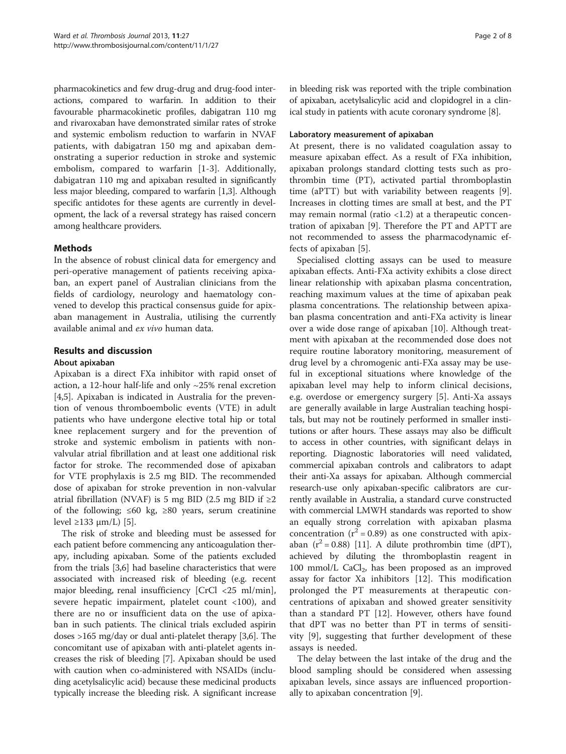pharmacokinetics and few drug-drug and drug-food interactions, compared to warfarin. In addition to their favourable pharmacokinetic profiles, dabigatran 110 mg and rivaroxaban have demonstrated similar rates of stroke and systemic embolism reduction to warfarin in NVAF patients, with dabigatran 150 mg and apixaban demonstrating a superior reduction in stroke and systemic embolism, compared to warfarin [[1-3\]](#page-6-0). Additionally, dabigatran 110 mg and apixaban resulted in significantly less major bleeding, compared to warfarin [[1,3\]](#page-6-0). Although specific antidotes for these agents are currently in development, the lack of a reversal strategy has raised concern among healthcare providers.

# Methods

In the absence of robust clinical data for emergency and peri-operative management of patients receiving apixaban, an expert panel of Australian clinicians from the fields of cardiology, neurology and haematology convened to develop this practical consensus guide for apixaban management in Australia, utilising the currently available animal and ex vivo human data.

# Results and discussion

### About apixaban

Apixaban is a direct FXa inhibitor with rapid onset of action, a 12-hour half-life and only ~25% renal excretion [[4,5\]](#page-6-0). Apixaban is indicated in Australia for the prevention of venous thromboembolic events (VTE) in adult patients who have undergone elective total hip or total knee replacement surgery and for the prevention of stroke and systemic embolism in patients with nonvalvular atrial fibrillation and at least one additional risk factor for stroke. The recommended dose of apixaban for VTE prophylaxis is 2.5 mg BID. The recommended dose of apixaban for stroke prevention in non-valvular atrial fibrillation (NVAF) is 5 mg BID (2.5 mg BID if  $\geq 2$ of the following; ≤60 kg, ≥80 years, serum creatinine level  $\geq$ 133  $\mu$ m/L) [\[5](#page-6-0)].

The risk of stroke and bleeding must be assessed for each patient before commencing any anticoagulation therapy, including apixaban. Some of the patients excluded from the trials [\[3,6](#page-6-0)] had baseline characteristics that were associated with increased risk of bleeding (e.g. recent major bleeding, renal insufficiency [CrCl <25 ml/min], severe hepatic impairment, platelet count <100), and there are no or insufficient data on the use of apixaban in such patients. The clinical trials excluded aspirin doses >165 mg/day or dual anti-platelet therapy [[3,6\]](#page-6-0). The concomitant use of apixaban with anti-platelet agents increases the risk of bleeding [\[7](#page-6-0)]. Apixaban should be used with caution when co-administered with NSAIDs (including acetylsalicylic acid) because these medicinal products typically increase the bleeding risk. A significant increase in bleeding risk was reported with the triple combination of apixaban, acetylsalicylic acid and clopidogrel in a clinical study in patients with acute coronary syndrome [\[8\]](#page-6-0).

#### Laboratory measurement of apixaban

At present, there is no validated coagulation assay to measure apixaban effect. As a result of FXa inhibition, apixaban prolongs standard clotting tests such as prothrombin time (PT), activated partial thromboplastin time (aPTT) but with variability between reagents [\[9](#page-6-0)]. Increases in clotting times are small at best, and the PT may remain normal (ratio  $<$ 1.2) at a therapeutic concentration of apixaban [\[9](#page-6-0)]. Therefore the PT and APTT are not recommended to assess the pharmacodynamic effects of apixaban [[5\]](#page-6-0).

Specialised clotting assays can be used to measure apixaban effects. Anti-FXa activity exhibits a close direct linear relationship with apixaban plasma concentration, reaching maximum values at the time of apixaban peak plasma concentrations. The relationship between apixaban plasma concentration and anti-FXa activity is linear over a wide dose range of apixaban [\[10](#page-6-0)]. Although treatment with apixaban at the recommended dose does not require routine laboratory monitoring, measurement of drug level by a chromogenic anti-FXa assay may be useful in exceptional situations where knowledge of the apixaban level may help to inform clinical decisions, e.g. overdose or emergency surgery [\[5](#page-6-0)]. Anti-Xa assays are generally available in large Australian teaching hospitals, but may not be routinely performed in smaller institutions or after hours. These assays may also be difficult to access in other countries, with significant delays in reporting. Diagnostic laboratories will need validated, commercial apixaban controls and calibrators to adapt their anti-Xa assays for apixaban. Although commercial research-use only apixaban-specific calibrators are currently available in Australia, a standard curve constructed with commercial LMWH standards was reported to show an equally strong correlation with apixaban plasma concentration  $(r^2 = 0.89)$  as one constructed with apixaban  $(r^2 = 0.88)$  [\[11\]](#page-6-0). A dilute prothrombin time (dPT), achieved by diluting the thromboplastin reagent in 100 mmol/L  $CaCl<sub>2</sub>$ , has been proposed as an improved assay for factor Xa inhibitors [\[12](#page-6-0)]. This modification prolonged the PT measurements at therapeutic concentrations of apixaban and showed greater sensitivity than a standard PT [\[12](#page-6-0)]. However, others have found that dPT was no better than PT in terms of sensitivity [[9\]](#page-6-0), suggesting that further development of these assays is needed.

The delay between the last intake of the drug and the blood sampling should be considered when assessing apixaban levels, since assays are influenced proportionally to apixaban concentration [[9\]](#page-6-0).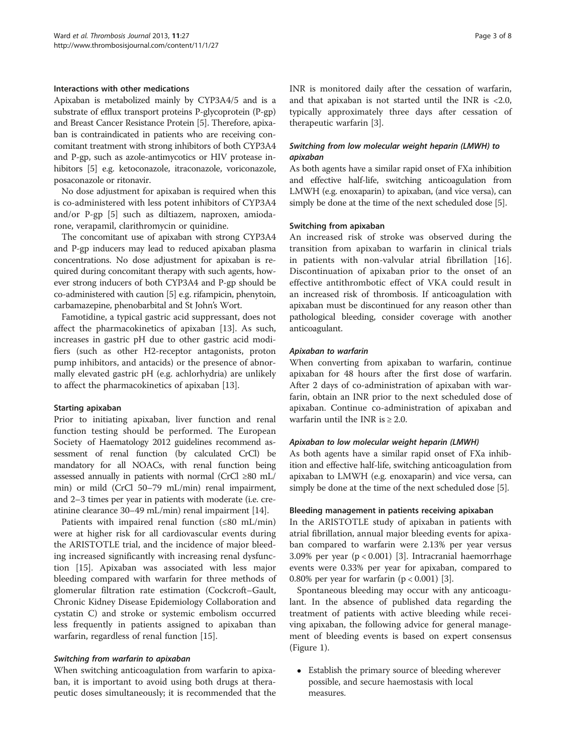### Interactions with other medications

Apixaban is metabolized mainly by CYP3A4/5 and is a substrate of efflux transport proteins P-glycoprotein (P-gp) and Breast Cancer Resistance Protein [\[5\]](#page-6-0). Therefore, apixaban is contraindicated in patients who are receiving concomitant treatment with strong inhibitors of both CYP3A4 and P-gp, such as azole-antimycotics or HIV protease inhibitors [[5\]](#page-6-0) e.g. ketoconazole, itraconazole, voriconazole, posaconazole or ritonavir.

No dose adjustment for apixaban is required when this is co-administered with less potent inhibitors of CYP3A4 and/or P-gp [\[5](#page-6-0)] such as diltiazem, naproxen, amiodarone, verapamil, clarithromycin or quinidine.

The concomitant use of apixaban with strong CYP3A4 and P-gp inducers may lead to reduced apixaban plasma concentrations. No dose adjustment for apixaban is required during concomitant therapy with such agents, however strong inducers of both CYP3A4 and P-gp should be co-administered with caution [\[5\]](#page-6-0) e.g. rifampicin, phenytoin, carbamazepine, phenobarbital and St John's Wort.

Famotidine, a typical gastric acid suppressant, does not affect the pharmacokinetics of apixaban [\[13](#page-6-0)]. As such, increases in gastric pH due to other gastric acid modifiers (such as other H2-receptor antagonists, proton pump inhibitors, and antacids) or the presence of abnormally elevated gastric pH (e.g. achlorhydria) are unlikely to affect the pharmacokinetics of apixaban [\[13\]](#page-6-0).

#### Starting apixaban

Prior to initiating apixaban, liver function and renal function testing should be performed. The European Society of Haematology 2012 guidelines recommend assessment of renal function (by calculated CrCl) be mandatory for all NOACs, with renal function being assessed annually in patients with normal (CrCl ≥80 mL/ min) or mild (CrCl 50–79 mL/min) renal impairment, and 2–3 times per year in patients with moderate (i.e. creatinine clearance 30–49 mL/min) renal impairment [\[14\]](#page-6-0).

Patients with impaired renal function (≤80 mL/min) were at higher risk for all cardiovascular events during the ARISTOTLE trial, and the incidence of major bleeding increased significantly with increasing renal dysfunction [[15\]](#page-6-0). Apixaban was associated with less major bleeding compared with warfarin for three methods of glomerular filtration rate estimation (Cockcroft–Gault, Chronic Kidney Disease Epidemiology Collaboration and cystatin C) and stroke or systemic embolism occurred less frequently in patients assigned to apixaban than warfarin, regardless of renal function [[15\]](#page-6-0).

### Switching from warfarin to apixaban

When switching anticoagulation from warfarin to apixaban, it is important to avoid using both drugs at therapeutic doses simultaneously; it is recommended that the INR is monitored daily after the cessation of warfarin, and that apixaban is not started until the INR is <2.0, typically approximately three days after cessation of therapeutic warfarin [[3\]](#page-6-0).

# Switching from low molecular weight heparin (LMWH) to apixaban

As both agents have a similar rapid onset of FXa inhibition and effective half-life, switching anticoagulation from LMWH (e.g. enoxaparin) to apixaban, (and vice versa), can simply be done at the time of the next scheduled dose [[5\]](#page-6-0).

#### Switching from apixaban

An increased risk of stroke was observed during the transition from apixaban to warfarin in clinical trials in patients with non-valvular atrial fibrillation [\[16](#page-6-0)]. Discontinuation of apixaban prior to the onset of an effective antithrombotic effect of VKA could result in an increased risk of thrombosis. If anticoagulation with apixaban must be discontinued for any reason other than pathological bleeding, consider coverage with another anticoagulant.

#### Apixaban to warfarin

When converting from apixaban to warfarin, continue apixaban for 48 hours after the first dose of warfarin. After 2 days of co-administration of apixaban with warfarin, obtain an INR prior to the next scheduled dose of apixaban. Continue co-administration of apixaban and warfarin until the INR is  $\geq 2.0$ .

#### Apixaban to low molecular weight heparin (LMWH)

As both agents have a similar rapid onset of FXa inhibition and effective half-life, switching anticoagulation from apixaban to LMWH (e.g. enoxaparin) and vice versa, can simply be done at the time of the next scheduled dose [\[5\]](#page-6-0).

#### Bleeding management in patients receiving apixaban

In the ARISTOTLE study of apixaban in patients with atrial fibrillation, annual major bleeding events for apixaban compared to warfarin were 2.13% per year versus 3.09% per year (p < 0.001) [[3\]](#page-6-0). Intracranial haemorrhage events were 0.33% per year for apixaban, compared to 0.80% per year for warfarin  $(p < 0.001)$  [\[3](#page-6-0)].

Spontaneous bleeding may occur with any anticoagulant. In the absence of published data regarding the treatment of patients with active bleeding while receiving apixaban, the following advice for general management of bleeding events is based on expert consensus (Figure [1\)](#page-3-0).

• Establish the primary source of bleeding wherever possible, and secure haemostasis with local measures.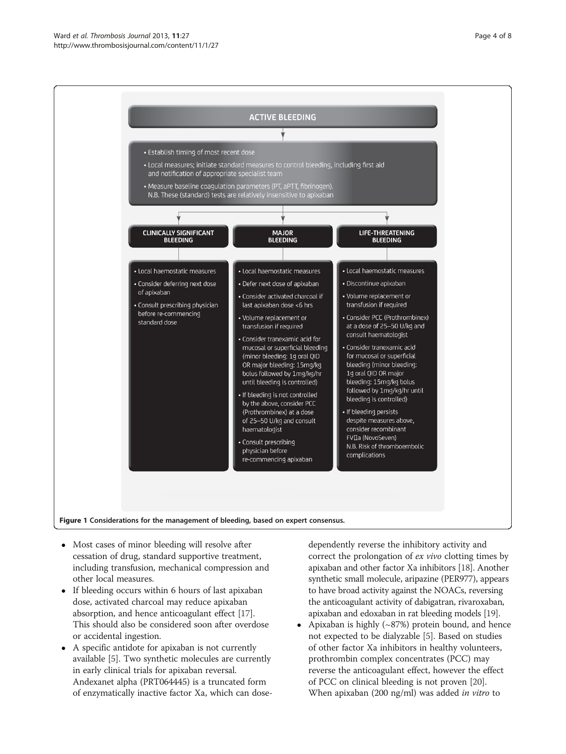<span id="page-3-0"></span>

- Most cases of minor bleeding will resolve after cessation of drug, standard supportive treatment, including transfusion, mechanical compression and other local measures.
- If bleeding occurs within 6 hours of last apixaban dose, activated charcoal may reduce apixaban absorption, and hence anticoagulant effect [[17](#page-6-0)]. This should also be considered soon after overdose or accidental ingestion.
- A specific antidote for apixaban is not currently available [[5\]](#page-6-0). Two synthetic molecules are currently in early clinical trials for apixaban reversal. Andexanet alpha (PRT064445) is a truncated form of enzymatically inactive factor Xa, which can dose-

dependently reverse the inhibitory activity and correct the prolongation of ex vivo clotting times by apixaban and other factor Xa inhibitors [\[18\]](#page-6-0). Another synthetic small molecule, aripazine (PER977), appears to have broad activity against the NOACs, reversing the anticoagulant activity of dabigatran, rivaroxaban, apixaban and edoxaban in rat bleeding models [\[19\]](#page-6-0).

 Apixaban is highly (~87%) protein bound, and hence not expected to be dialyzable [\[5](#page-6-0)]. Based on studies of other factor Xa inhibitors in healthy volunteers, prothrombin complex concentrates (PCC) may reverse the anticoagulant effect, however the effect of PCC on clinical bleeding is not proven [[20](#page-6-0)]. When apixaban (200 ng/ml) was added in vitro to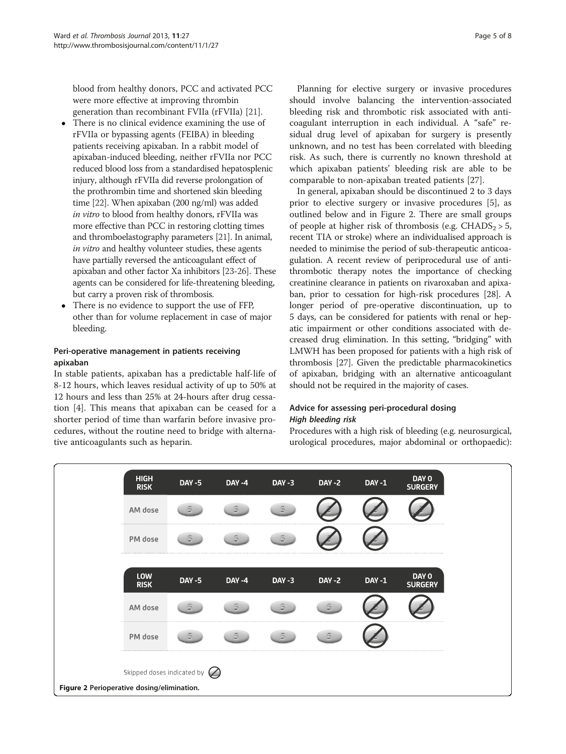<span id="page-4-0"></span>blood from healthy donors, PCC and activated PCC were more effective at improving thrombin generation than recombinant FVIIa (rFVIIa) [[21](#page-6-0)].

- There is no clinical evidence examining the use of rFVIIa or bypassing agents (FEIBA) in bleeding patients receiving apixaban. In a rabbit model of apixaban-induced bleeding, neither rFVIIa nor PCC reduced blood loss from a standardised hepatosplenic injury, although rFVIIa did reverse prolongation of the prothrombin time and shortened skin bleeding time [\[22](#page-6-0)]. When apixaban (200 ng/ml) was added in vitro to blood from healthy donors, rFVIIa was more effective than PCC in restoring clotting times and thromboelastography parameters [[21](#page-6-0)]. In animal, in vitro and healthy volunteer studies, these agents have partially reversed the anticoagulant effect of apixaban and other factor Xa inhibitors [[23](#page-6-0)-[26](#page-6-0)]. These agents can be considered for life-threatening bleeding, but carry a proven risk of thrombosis.
- There is no evidence to support the use of FFP, other than for volume replacement in case of major bleeding.

# Peri-operative management in patients receiving apixaban

In stable patients, apixaban has a predictable half-life of 8-12 hours, which leaves residual activity of up to 50% at 12 hours and less than 25% at 24-hours after drug cessation [\[4](#page-6-0)]. This means that apixaban can be ceased for a shorter period of time than warfarin before invasive procedures, without the routine need to bridge with alternative anticoagulants such as heparin.

Planning for elective surgery or invasive procedures should involve balancing the intervention-associated bleeding risk and thrombotic risk associated with anticoagulant interruption in each individual. A "safe" residual drug level of apixaban for surgery is presently unknown, and no test has been correlated with bleeding risk. As such, there is currently no known threshold at which apixaban patients' bleeding risk are able to be comparable to non-apixaban treated patients [[27\]](#page-6-0).

In general, apixaban should be discontinued 2 to 3 days prior to elective surgery or invasive procedures [\[5](#page-6-0)], as outlined below and in Figure 2. There are small groups of people at higher risk of thrombosis (e.g.  $CHADS<sub>2</sub> > 5$ , recent TIA or stroke) where an individualised approach is needed to minimise the period of sub-therapeutic anticoagulation. A recent review of periprocedural use of antithrombotic therapy notes the importance of checking creatinine clearance in patients on rivaroxaban and apixaban, prior to cessation for high-risk procedures [\[28\]](#page-7-0). A longer period of pre-operative discontinuation, up to 5 days, can be considered for patients with renal or hepatic impairment or other conditions associated with decreased drug elimination. In this setting, "bridging" with LMWH has been proposed for patients with a high risk of thrombosis [[27](#page-6-0)]. Given the predictable pharmacokinetics of apixaban, bridging with an alternative anticoagulant should not be required in the majority of cases.

# Advice for assessing peri-procedural dosing High bleeding risk

Procedures with a high risk of bleeding (e.g. neurosurgical, urological procedures, major abdominal or orthopaedic):

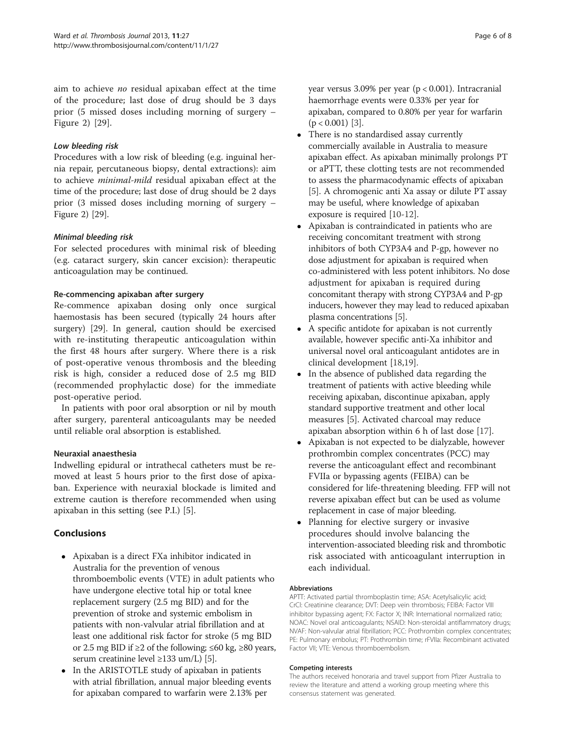aim to achieve no residual apixaban effect at the time of the procedure; last dose of drug should be 3 days prior (5 missed doses including morning of surgery – Figure [2\)](#page-4-0) [\[29](#page-7-0)].

# Low bleeding risk

Procedures with a low risk of bleeding (e.g. inguinal hernia repair, percutaneous biopsy, dental extractions): aim to achieve minimal-mild residual apixaban effect at the time of the procedure; last dose of drug should be 2 days prior (3 missed doses including morning of surgery – Figure [2](#page-4-0)) [[29](#page-7-0)].

# Minimal bleeding risk

For selected procedures with minimal risk of bleeding (e.g. cataract surgery, skin cancer excision): therapeutic anticoagulation may be continued.

# Re-commencing apixaban after surgery

Re-commence apixaban dosing only once surgical haemostasis has been secured (typically 24 hours after surgery) [\[29](#page-7-0)]. In general, caution should be exercised with re-instituting therapeutic anticoagulation within the first 48 hours after surgery. Where there is a risk of post-operative venous thrombosis and the bleeding risk is high, consider a reduced dose of 2.5 mg BID (recommended prophylactic dose) for the immediate post-operative period.

In patients with poor oral absorption or nil by mouth after surgery, parenteral anticoagulants may be needed until reliable oral absorption is established.

# Neuraxial anaesthesia

Indwelling epidural or intrathecal catheters must be removed at least 5 hours prior to the first dose of apixaban. Experience with neuraxial blockade is limited and extreme caution is therefore recommended when using apixaban in this setting (see P.I.) [[5\]](#page-6-0).

# Conclusions

- Apixaban is a direct FXa inhibitor indicated in Australia for the prevention of venous thromboembolic events (VTE) in adult patients who have undergone elective total hip or total knee replacement surgery (2.5 mg BID) and for the prevention of stroke and systemic embolism in patients with non-valvular atrial fibrillation and at least one additional risk factor for stroke (5 mg BID or 2.5 mg BID if ≥2 of the following; ≤60 kg, ≥80 years, serum creatinine level ≥133 um/L) [\[5](#page-6-0)].
- In the ARISTOTLE study of apixaban in patients with atrial fibrillation, annual major bleeding events for apixaban compared to warfarin were 2.13% per

year versus  $3.09\%$  per year ( $p < 0.001$ ). Intracranial haemorrhage events were 0.33% per year for apixaban, compared to 0.80% per year for warfarin  $(p < 0.001)$  [[3\]](#page-6-0).

- There is no standardised assay currently commercially available in Australia to measure apixaban effect. As apixaban minimally prolongs PT or aPTT, these clotting tests are not recommended to assess the pharmacodynamic effects of apixaban [[5\]](#page-6-0). A chromogenic anti Xa assay or dilute PT assay may be useful, where knowledge of apixaban exposure is required [[10](#page-6-0)-[12\]](#page-6-0).
- Apixaban is contraindicated in patients who are receiving concomitant treatment with strong inhibitors of both CYP3A4 and P-gp, however no dose adjustment for apixaban is required when co-administered with less potent inhibitors. No dose adjustment for apixaban is required during concomitant therapy with strong CYP3A4 and P-gp inducers, however they may lead to reduced apixaban plasma concentrations [[5\]](#page-6-0).
- A specific antidote for apixaban is not currently available, however specific anti-Xa inhibitor and universal novel oral anticoagulant antidotes are in clinical development [[18,19](#page-6-0)].
- In the absence of published data regarding the treatment of patients with active bleeding while receiving apixaban, discontinue apixaban, apply standard supportive treatment and other local measures [\[5\]](#page-6-0). Activated charcoal may reduce apixaban absorption within 6 h of last dose [[17](#page-6-0)].
- Apixaban is not expected to be dialyzable, however prothrombin complex concentrates (PCC) may reverse the anticoagulant effect and recombinant FVIIa or bypassing agents (FEIBA) can be considered for life-threatening bleeding. FFP will not reverse apixaban effect but can be used as volume replacement in case of major bleeding.
- Planning for elective surgery or invasive procedures should involve balancing the intervention-associated bleeding risk and thrombotic risk associated with anticoagulant interruption in each individual.

#### Abbreviations

APTT: Activated partial thromboplastin time; ASA: Acetylsalicylic acid; CrCl: Creatinine clearance; DVT: Deep vein thrombosis; FEIBA: Factor VIII inhibitor bypassing agent; FX: Factor X; INR: International normalized ratio; NOAC: Novel oral anticoagulants; NSAID: Non-steroidal antiflammatory drugs; NVAF: Non-valvular atrial fibrillation; PCC: Prothrombin complex concentrates; PE: Pulmonary embolus; PT: Prothrombin time; rFVIIa: Recombinant activated Factor VII; VTE: Venous thromboembolism.

#### Competing interests

The authors received honoraria and travel support from Pfizer Australia to review the literature and attend a working group meeting where this consensus statement was generated.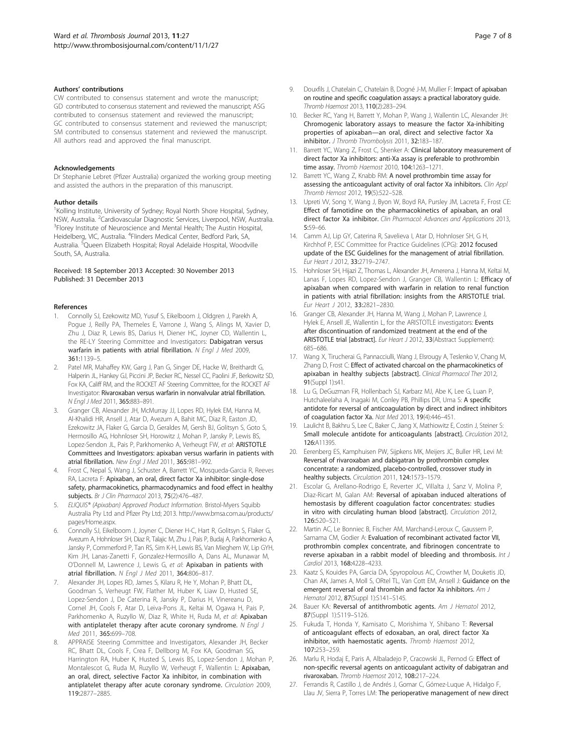#### <span id="page-6-0"></span>Authors' contributions

CW contributed to consensus statement and wrote the manuscript; GD contributed to consensus statement and reviewed the manuscript; ASG contributed to consensus statement and reviewed the manuscript; GC contributed to consensus statement and reviewed the manuscript; SM contributed to consensus statement and reviewed the manuscript. All authors read and approved the final manuscript.

#### Acknowledgements

Dr Stephanie Lebret (Pfizer Australia) organized the working group meeting and assisted the authors in the preparation of this manuscript.

#### Author details

<sup>1</sup>Kolling Institute, University of Sydney; Royal North Shore Hospital, Sydney, NSW, Australia. <sup>2</sup>Cardiovascular Diagnostic Services, Liverpool, NSW, Australia.<br><sup>3</sup>Eleroy Institute of Nouroscionse and Montal Hoalth: The Austin Hospital. <sup>3</sup>Florey Institute of Neuroscience and Mental Health; The Austin Hospital, Heidelberg, VIC, Australia. <sup>4</sup>Flinders Medical Center, Bedford Park, SA, Australia. <sup>5</sup>Queen Elizabeth Hospital; Royal Adelaide Hospital, Woodville South, SA, Australia.

#### Received: 18 September 2013 Accepted: 30 November 2013 Published: 31 December 2013

#### References

- 1. Connolly SJ, Ezekowitz MD, Yusuf S, Eikelboom J, Oldgren J, Parekh A, Pogue J, Reilly PA, Themeles E, Varrone J, Wang S, Alings M, Xavier D, Zhu J, Diaz R, Lewis BS, Darius H, Diener HC, Joyner CD, Wallentin L, the RE-LY Steering Committee and Investigators: Dabigatran versus warfarin in patients with atrial fibrillation. N Engl J Med 2009, 361:1139–5.
- 2. Patel MR, Mahaffey KW, Garg J, Pan G, Singer DE, Hacke W, Breithardt G, Halperin JL, Hankey GJ, Piccini JP, Becker RC, Nessel CC, Paolini JF, Berkowitz SD, Fox KA, Califf RM, and the ROCKET AF Steering Committee, for the ROCKET AF Investigator: Rivaroxaban versus warfarin in nonvalvular atrial fibrillation. N Engl J Med 2011, 365:883–891.
- Granger CB, Alexander JH, McMurray JJ, Lopes RD, Hylek EM, Hanna M, Al-Khalidi HR, Ansell J, Atar D, Avezum A, Bahit MC, Diaz R, Easton JD, Ezekowitz JA, Flaker G, Garcia D, Geraldes M, Gersh BJ, Golitsyn S, Goto S, Hermosillo AG, Hohnloser SH, Horowitz J, Mohan P, Jansky P, Lewis BS, Lopez-Sendon JL, Pais P, Parkhomenko A, Verheugt FW, et al: ARISTOTLE Committees and Investigators: apixaban versus warfarin in patients with atrial fibrillation. New Engl J Med 2011, 365:981–992.
- 4. Frost C, Nepal S, Wang J, Schuster A, Barrett YC, Mosqueda-Garcia R, Reeves RA, Lacreta F: Apixaban, an oral, direct factor Xa inhibitor: single-dose safety, pharmacokinetics, pharmacodynamics and food effect in healthy subjects. Br J Clin Pharmacol 2013, 75(2):476-487.
- 5. ELIQUIS® (Apixaban) Approved Product Information. Bristol-Myers Squibb Australia Pty Ltd and Pfizer Pty Ltd; 2013. [http://www.bmsa.com.au/products/](http://www.bmsa.com.au/products/pages/Home.aspx) [pages/Home.aspx](http://www.bmsa.com.au/products/pages/Home.aspx).
- 6. Connolly SJ, Eikelboom J, Joyner C, Diener H-C, Hart R, Golitsyn S, Flaker G, Avezum A, Hohnloser SH, Diaz R, Talajic M, Zhu J, Pais P, Budaj A, Parkhomenko A, Jansky P, Commerford P, Tan RS, Sim K-H, Lewis BS, Van Mieghem W, Lip GYH, Kim JH, Lanas-Zanetti F, Gonzalez-Hermosillo A, Dans AL, Munawar M, O'Donnell M, Lawrence J, Lewis G, et al: Apixaban in patients with atrial fibrillation. N Engl J Med 2011, 364:806–817.
- 7. Alexander JH, Lopes RD, James S, Kilaru R, He Y, Mohan P, Bhatt DL, Goodman S, Verheugt FW, Flather M, Huber K, Liaw D, Husted SE, Lopez-Sendon J, De Caterina R, Jansky P, Darius H, Vinereanu D, Cornel JH, Cools F, Atar D, Leiva-Pons JL, Keltai M, Ogawa H, Pais P, Parkhomenko A, Ruzyllo W, Diaz R, White H, Ruda M, et al: Apixaban with antiplatelet therapy after acute coronary syndrome. N Engl J Med 2011, 365:699–708.
- 8. APPRAISE Steering Committee and Investigators, Alexander JH, Becker RC, Bhatt DL, Cools F, Crea F, Dellborg M, Fox KA, Goodman SG, Harrington RA, Huber K, Husted S, Lewis BS, Lopez-Sendon J, Mohan P, Montalescot G, Ruda M, Ruzyllo W, Verheugt F, Wallentin L: Apixaban, an oral, direct, selective Factor Xa inhibitor, in combination with antiplatelet therapy after acute coronary syndrome. Circulation 2009, 119:2877–2885.
- 9. Douxfils J, Chatelain C, Chatelain B, Dogné J-M, Mullier F: Impact of apixaban on routine and specific coagulation assays: a practical laboratory guide. Thromb Haemost 2013, 110(2):283–294.
- 10. Becker RC, Yang H, Barrett Y, Mohan P, Wang J, Wallentin LC, Alexander JH: Chromogenic laboratory assays to measure the factor Xa-inhibiting properties of apixaban—an oral, direct and selective factor Xa inhibitor. J Thromb Thrombolysis 2011, 32:183–187.
- 11. Barrett YC, Wang Z, Frost C, Shenker A: Clinical laboratory measurement of direct factor Xa inhibitors: anti-Xa assay is preferable to prothrombin time assay. Thromb Haemost 2010, 104:1263–1271.
- 12. Barrett YC, Wang Z, Knabb RM: A novel prothrombin time assay for assessing the anticoagulant activity of oral factor Xa inhibitors. Clin Appl Thromb Hemost 2012, 19(5):522–528.
- 13. Upreti VV, Song Y, Wang J, Byon W, Boyd RA, Pursley JM, Lacreta F, Frost CE: Effect of famotidine on the pharmacokinetics of apixaban, an oral direct factor Xa inhibitor. Clin Pharmacol: Advances and Applications 2013, 5:59–66.
- 14. Camm AJ, Lip GY, Caterina R, Savelieva I, Atar D, Hohnloser SH, G H, Kirchhof P, ESC Committee for Practice Guidelines (CPG): 2012 focused update of the ESC Guidelines for the management of atrial fibrillation. Eur Heart J 2012, 33:2719–2747.
- 15. Hohnloser SH, Hijazi Z, Thomas L, Alexander JH, Amerena J, Hanna M, Keltai M, Lanas F, Lopes RD, Lopez-Sendon J, Granger CB, Wallentin L: Efficacy of apixaban when compared with warfarin in relation to renal function in patients with atrial fibrillation: insights from the ARISTOTLE trial. Eur Heart J 2012, 33:2821–2830.
- 16. Granger CB, Alexander JH, Hanna M, Wang J, Mohan P, Lawrence J, Hylek E, Ansell JE, Wallentin L, for the ARISTOTLE investigators: Events after discontinuation of randomized treatment at the end of the ARISTOTLE trial [abstract]. Eur Heart J 2012, 33(Abstract Supplement): 685–686.
- 17. Wang X, Tirucherai G, Pannacciulli, Wang J, Elsrougy A, Teslenko V, Chang M, Zhang D, Frost C: Effect of activated charcoal on the pharmacokinetics of apixaban in healthy subjects [abstract]. Clinical Pharmacol Ther 2012, 91(Suppl 1):s41
- 18. Lu G, DeGuzman FR, Hollenbach SJ, Karbarz MJ, Abe K, Lee G, Luan P, Hutchaleelaha A, Inagaki M, Conley PB, Phillips DR, Uma S: A specific antidote for reversal of anticoagulation by direct and indirect inhibitors of coagulation factor Xa. Nat Med 2013, 19(4):446–451.
- 19. Laulicht B, Bakhru S, Lee C, Baker C, Jiang X, Mathiowitz E, Costin J, Steiner S: Small molecule antidote for anticoagulants [abstract]. Circulation 2012, 126:A11395.
- 20. Eerenberg ES, Kamphuisen PW, Sijpkens MK, Meijers JC, Buller HR, Levi M: Reversal of rivaroxaban and dabigatran by prothrombin complex concentrate: a randomized, placebo-controlled, crossover study in healthy subjects. Circulation 2011, 124:1573–1579.
- 21. Escolar G, Arellano-Rodrigo E, Reverter JC, Villalta J, Sanz V, Molina P, Diaz-Ricart M, Galan AM: Reversal of apixaban induced alterations of hemostasis by different coagulation factor concentrates: studies in vitro with circulating human blood [abstract]. Circulation 2012, 126:520–521.
- 22. Martin AC, Le Bonniec B, Fischer AM, Marchand-Leroux C, Gaussem P, Samama CM, Godier A: Evaluation of recombinant activated factor VII, prothrombin complex concentrate, and fibrinogen concentrate to reverse apixaban in a rabbit model of bleeding and thrombosis. Int J Cardiol 2013, 168:4228–4233.
- 23. Kaatz S, Kouides PA, Garcia DA, Spyropolous AC, Crowther M, Douketis JD, Chan AK, James A, Moll S, ORtel TL, Van Cott EM, Ansell J: Guidance on the emergent reversal of oral thrombin and factor Xa inhibitors. Am J Hematol 2012, 87(Suppl 1):S141–S145.
- 24. Bauer KA: Reversal of antithrombotic agents. Am J Hematol 2012, 87(Suppl 1):S119–S126.
- 25. Fukuda T, Honda Y, Kamisato C, Morishima Y, Shibano T: Reversal of anticoagulant effects of edoxaban, an oral, direct factor Xa inhibitor, with haemostatic agents. Thromb Haemost 2012, 107:253–259.
- 26. Marlu R, Hodaj E, Paris A, Albaladejo P, Cracowski JL, Pernod G: Effect of non-specific reversal agents on anticoagulant activity of dabigatran and rivaroxaban. Thromb Haemost 2012, 108:217–224.
- 27. Ferrandis R, Castillo J, de Andrés J, Gomar C, Gómez-Luque A, Hidalgo F, Llau JV, Sierra P, Torres LM: The perioperative management of new direct